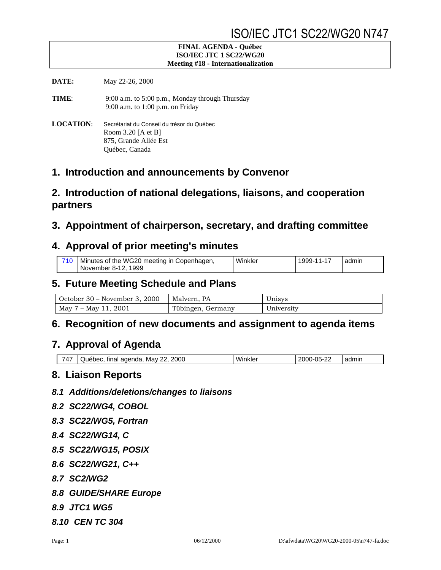#### **FINAL AGENDA - Québec ISO/IEC JTC 1 SC22/WG20 Meeting #18 - Internationalization**

**DATE:** May 22-26, 2000

**TIME**: 9:00 a.m. to 5:00 p.m., Monday through Thursday 9:00 a.m. to 1:00 p.m. on Friday

**LOCATION**: Secrétariat du Conseil du trésor du Québec Room 3.20 [A et B] 875, Grande Allée Est Québec, Canada

### **1. Introduction and announcements by Convenor**

## **2. Introduction of national delegations, liaisons, and cooperation partners**

### **3. Appointment of chairperson, secretary, and drafting committee**

### **4. Approval of prior meeting's minutes**

| 710 | Minutes of the WG20 meeting in Copenhagen, | Winkler | 1999-11-17 | admin |
|-----|--------------------------------------------|---------|------------|-------|
|     | November 8-12, 1999                        |         |            |       |

## **5. Future Meeting Schedule and Plans**

| October 30 – November 3, 2000 | Malvern, PA       | Unisys     |
|-------------------------------|-------------------|------------|
| May 7 – May 11, 2001          | Tübingen, Germany | University |

### **6. Recognition of new documents and assignment to agenda items**

### **7. Approval of Agenda**

#### **8. Liaison Reports**

- *8.1 Additions/deletions/changes to liaisons*
- *8.2 SC22/WG4, COBOL*
- *8.3 SC22/WG5, Fortran*
- *8.4 SC22/WG14, C*
- *8.5 SC22/WG15, POSIX*
- *8.6 SC22/WG21, C++*
- *8.7 SC2/WG2*
- *8.8 GUIDE/SHARE Europe*
- *8.9 JTC1 WG5*
- *8.10 CEN TC 304*